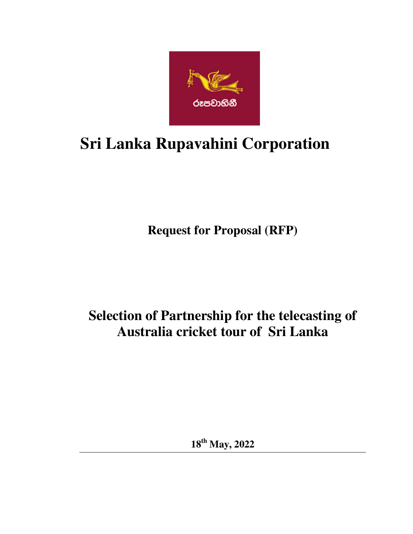

# **Sri Lanka Rupavahini Corporation**

**Request for Proposal (RFP)** 

## **Selection of Partnership for the telecasting of Australia cricket tour of Sri Lanka**

**18th May, 2022**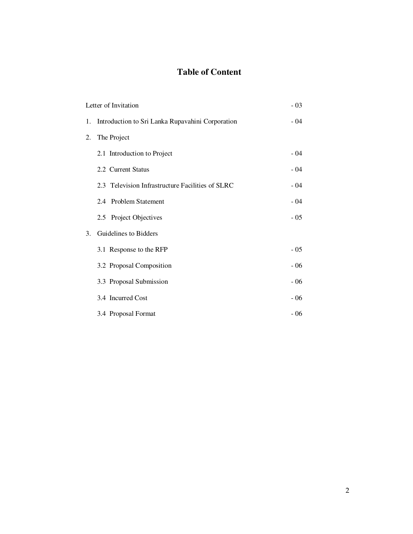### **Table of Content**

|                | Letter of Invitation                                | $-03$ |
|----------------|-----------------------------------------------------|-------|
|                | 1. Introduction to Sri Lanka Rupavahini Corporation | $-04$ |
|                | 2. The Project                                      |       |
|                | 2.1 Introduction to Project                         | - 04  |
|                | 2.2 Current Status                                  | $-04$ |
|                | 2.3 Television Infrastructure Facilities of SLRC    | $-04$ |
|                | 2.4 Problem Statement                               | $-04$ |
|                | 2.5 Project Objectives                              | $-05$ |
| 3 <sub>1</sub> | Guidelines to Bidders                               |       |
|                | 3.1 Response to the RFP                             | $-05$ |
|                | 3.2 Proposal Composition                            | $-06$ |
|                | 3.3 Proposal Submission                             | $-06$ |
|                | 3.4 Incurred Cost                                   | $-06$ |
|                | 3.4 Proposal Format                                 | $-06$ |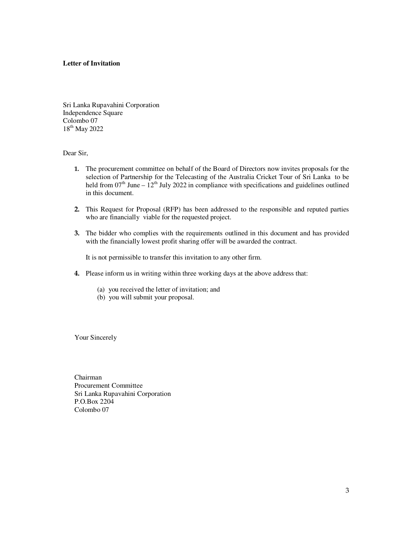#### **Letter of Invitation**

Sri Lanka Rupavahini Corporation Independence Square Colombo 07 18th May 2022

Dear Sir,

- **1.** The procurement committee on behalf of the Board of Directors now invites proposals for the selection of Partnership for the Telecasting of the Australia Cricket Tour of Sri Lanka to be held from  $07<sup>th</sup>$  June –  $12<sup>th</sup>$  July 2022 in compliance with specifications and guidelines outlined in this document.
- **2.** This Request for Proposal (RFP) has been addressed to the responsible and reputed parties who are financially viable for the requested project.
- **3.** The bidder who complies with the requirements outlined in this document and has provided with the financially lowest profit sharing offer will be awarded the contract.

It is not permissible to transfer this invitation to any other firm.

- **4.** Please inform us in writing within three working days at the above address that:
	- (a) you received the letter of invitation; and
	- (b) you will submit your proposal.

Your Sincerely

Chairman Procurement Committee Sri Lanka Rupavahini Corporation P.O.Box 2204 Colombo 07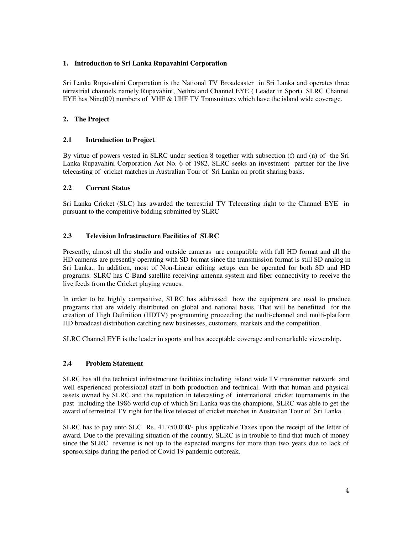#### **1. Introduction to Sri Lanka Rupavahini Corporation**

Sri Lanka Rupavahini Corporation is the National TV Broadcaster in Sri Lanka and operates three terrestrial channels namely Rupavahini, Nethra and Channel EYE ( Leader in Sport). SLRC Channel EYE has Nine(09) numbers of VHF & UHF TV Transmitters which have the island wide coverage.

#### **2. The Project**

#### **2.1 Introduction to Project**

By virtue of powers vested in SLRC under section 8 together with subsection (f) and (n) of the Sri Lanka Rupavahini Corporation Act No. 6 of 1982, SLRC seeks an investment partner for the live telecasting of cricket matches in Australian Tour of Sri Lanka on profit sharing basis.

#### **2.2 Current Status**

Sri Lanka Cricket (SLC) has awarded the terrestrial TV Telecasting right to the Channel EYE in pursuant to the competitive bidding submitted by SLRC

#### **2.3 Television Infrastructure Facilities of SLRC**

Presently, almost all the studio and outside cameras are compatible with full HD format and all the HD cameras are presently operating with SD format since the transmission format is still SD analog in Sri Lanka.. In addition, most of Non-Linear editing setups can be operated for both SD and HD programs. SLRC has C-Band satellite receiving antenna system and fiber connectivity to receive the live feeds from the Cricket playing venues.

In order to be highly competitive, SLRC has addressed how the equipment are used to produce programs that are widely distributed on global and national basis. That will be benefitted for the creation of High Definition (HDTV) programming proceeding the multi-channel and multi-platform HD broadcast distribution catching new businesses, customers, markets and the competition.

SLRC Channel EYE is the leader in sports and has acceptable coverage and remarkable viewership.

#### **2.4 Problem Statement**

SLRC has all the technical infrastructure facilities including island wide TV transmitter network and well experienced professional staff in both production and technical. With that human and physical assets owned by SLRC and the reputation in telecasting of international cricket tournaments in the past including the 1986 world cup of which Sri Lanka was the champions, SLRC was able to get the award of terrestrial TV right for the live telecast of cricket matches in Australian Tour of Sri Lanka.

SLRC has to pay unto SLC Rs. 41,750,000/- plus applicable Taxes upon the receipt of the letter of award. Due to the prevailing situation of the country, SLRC is in trouble to find that much of money since the SLRC revenue is not up to the expected margins for more than two years due to lack of sponsorships during the period of Covid 19 pandemic outbreak.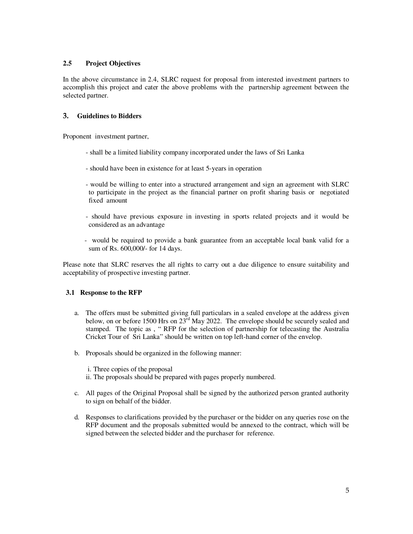#### **2.5 Project Objectives**

In the above circumstance in 2.4, SLRC request for proposal from interested investment partners to accomplish this project and cater the above problems with the partnership agreement between the selected partner.

#### **3. Guidelines to Bidders**

Proponent investment partner,

- shall be a limited liability company incorporated under the laws of Sri Lanka
- should have been in existence for at least 5-years in operation
- would be willing to enter into a structured arrangement and sign an agreement with SLRC to participate in the project as the financial partner on profit sharing basis or negotiated fixed amount
- should have previous exposure in investing in sports related projects and it would be considered as an advantage
- would be required to provide a bank guarantee from an acceptable local bank valid for a sum of Rs. 600,000/- for 14 days.

Please note that SLRC reserves the all rights to carry out a due diligence to ensure suitability and acceptability of prospective investing partner.

#### **3.1 Response to the RFP**

- a. The offers must be submitted giving full particulars in a sealed envelope at the address given below, on or before 1500 Hrs on  $23^{rd}$  May 2022. The envelope should be securely sealed and stamped. The topic as , " RFP for the selection of partnership for telecasting the Australia Cricket Tour of Sri Lanka" should be written on top left-hand corner of the envelop.
- b. Proposals should be organized in the following manner:
	- i. Three copies of the proposal

ii. The proposals should be prepared with pages properly numbered.

- c. All pages of the Original Proposal shall be signed by the authorized person granted authority to sign on behalf of the bidder.
- d. Responses to clarifications provided by the purchaser or the bidder on any queries rose on the RFP document and the proposals submitted would be annexed to the contract, which will be signed between the selected bidder and the purchaser for reference.